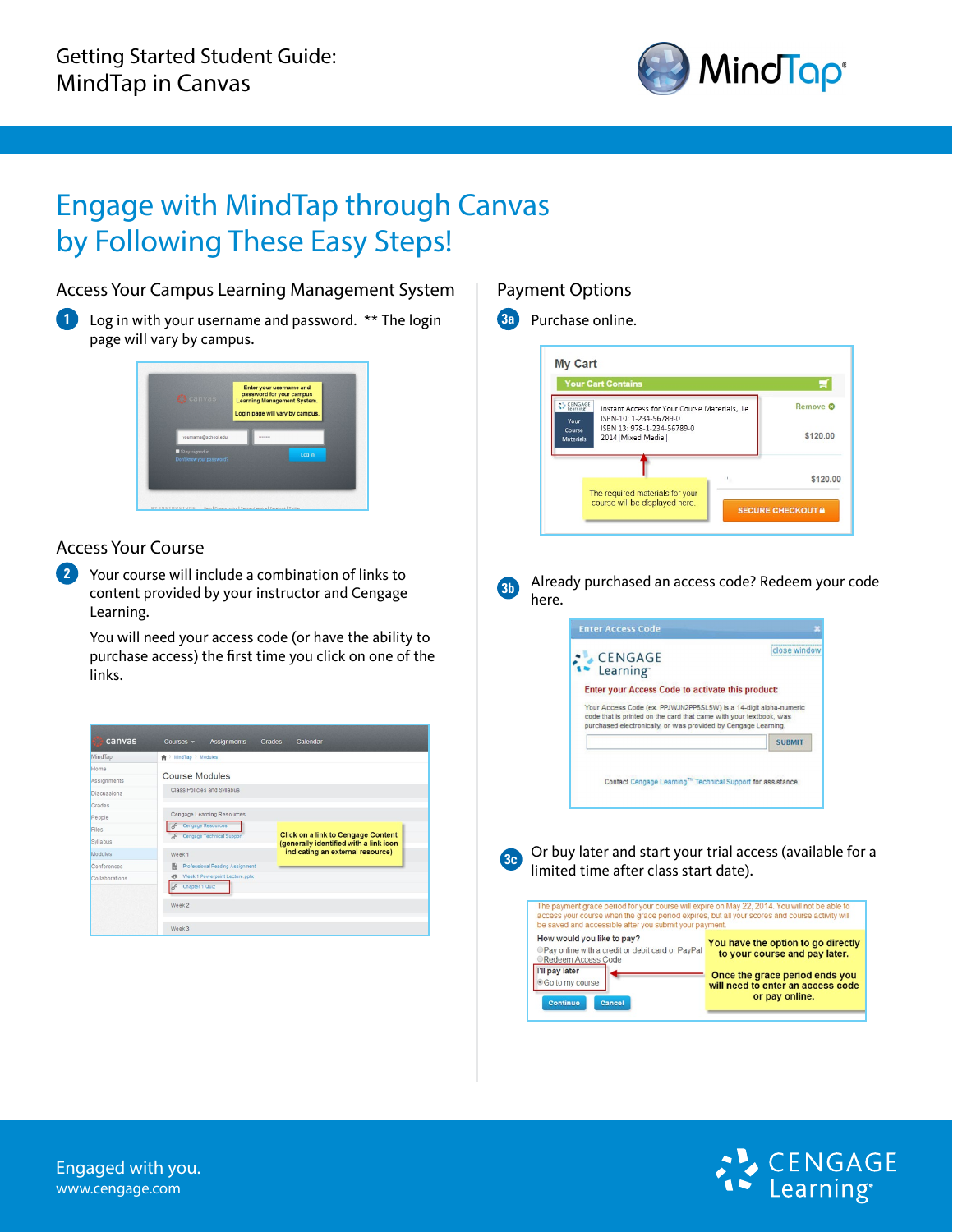

## Engage with MindTap through Canvas by Following These Easy Steps!

### Access Your Campus Learning Management System

**1** Log in with your username and password. \*\* The login page will vary by campus.



### Access Your Course

**2** Your course will include a combination of links to content provided by your instructor and Cengage Learning.

You will need your access code (or have the ability to purchase access) the first time you click on one of the links.

| MindTap            | <b>曲</b> > MindTap > Modules         |                                                                                     |  |
|--------------------|--------------------------------------|-------------------------------------------------------------------------------------|--|
| Home               |                                      |                                                                                     |  |
| Assignments        | <b>Course Modules</b>                |                                                                                     |  |
| <b>Discussions</b> | Class Policies and Syllabus          |                                                                                     |  |
| Grades             |                                      |                                                                                     |  |
| People             | Cengage Learning Resources           |                                                                                     |  |
| Files              | Cengage Resources<br>È               |                                                                                     |  |
| Syllabus           | Cengage Technical Support<br>2       | <b>Click on a link to Cengage Content</b><br>(generally identified with a link icon |  |
| Modules            | Week <sub>1</sub>                    | indicating an external resource)                                                    |  |
| Conferences        | Professional Reading Assignment<br>脂 |                                                                                     |  |
| Collaborations     | Week 1 Powerpoint Lecture.pptx<br>d3 |                                                                                     |  |
|                    | Chapter 1 Quiz<br>È                  |                                                                                     |  |
|                    | Week 2                               |                                                                                     |  |
|                    |                                      |                                                                                     |  |
|                    | Week 3                               |                                                                                     |  |

### Payment Options



**3b**

Already purchased an access code? Redeem your code here.





Or buy later and start your trial access (available for a limited time after class start date).